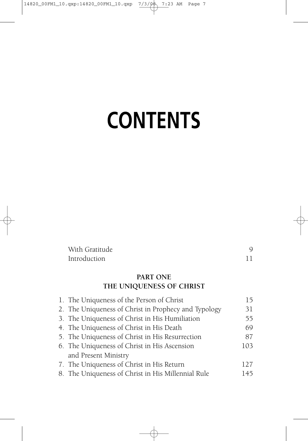# **CONTENTS**

| With Gratitude |  |
|----------------|--|
| Introduction   |  |

# **PART ONE THE UNIQUENESS OF CHRIST**

| 1. The Uniqueness of the Person of Christ            | 15   |
|------------------------------------------------------|------|
| 2. The Uniqueness of Christ in Prophecy and Typology | 31   |
| 3. The Uniqueness of Christ in His Humiliation       | 55   |
| 4. The Uniqueness of Christ in His Death             | 69   |
| 5. The Uniqueness of Christ in His Resurrection      | 87   |
| 6. The Uniqueness of Christ in His Ascension         | 103  |
| and Present Ministry                                 |      |
| 7. The Uniqueness of Christ in His Return            | 12.7 |
| 8. The Uniqueness of Christ in His Millennial Rule   | 145  |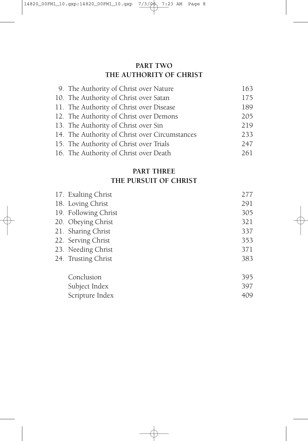# **PART TWO THE AUTHORITY OF CHRIST**

| 9. The Authority of Christ over Nature         | 163 |
|------------------------------------------------|-----|
| 10. The Authority of Christ over Satan         | 175 |
| 11. The Authority of Christ over Disease       | 189 |
| 12. The Authority of Christ over Demons        | 205 |
| 13. The Authority of Christ over Sin           | 219 |
| 14. The Authority of Christ over Circumstances | 233 |
| 15. The Authority of Christ over Trials        | 247 |
| 16. The Authority of Christ over Death         | 261 |

## **PART THREE THE PURSUIT OF CHRIST**

| 17. Exalting Christ  | 277 |
|----------------------|-----|
| 18. Loving Christ    | 291 |
| 19. Following Christ | 305 |
| 20. Obeying Christ   | 321 |
| 21. Sharing Christ   | 337 |
| 22. Serving Christ   | 353 |
| 23. Needing Christ   | 371 |
| 24. Trusting Christ  | 383 |
| Conclusion           | 395 |
| Subject Index        | 397 |
| Scripture Index      | 409 |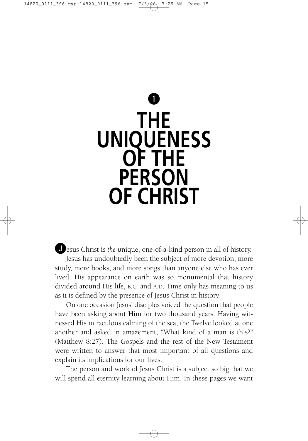# **q THE UNIQUENESS OF THE PERSON OF CHRIST**

**J**esus Christ is *the* unique, one-of-a-kind person in all of history. Jesus has undoubtedly been the subject of more devotion, more study, more books, and more songs than anyone else who has ever lived. His appearance on earth was so monumental that history divided around His life, B.C. and A.D. Time only has meaning to us as it is defined by the presence of Jesus Christ in history.

On one occasion Jesus' disciples voiced the question that people have been asking about Him for two thousand years. Having witnessed His miraculous calming of the sea, the Twelve looked at one another and asked in amazement, "What kind of a man is this?" (Matthew 8:27). The Gospels and the rest of the New Testament were written to answer that most important of all questions and explain its implications for our lives.

The person and work of Jesus Christ is a subject so big that we will spend all eternity learning about Him. In these pages we want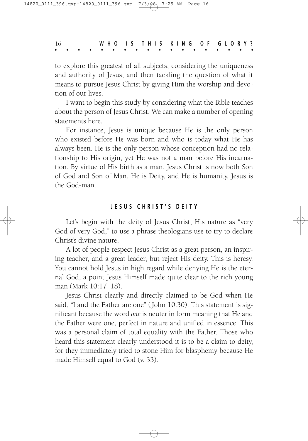16 **W H O I S T H I S K I N G O F G L O R Y ?**

to explore this greatest of all subjects, considering the uniqueness and authority of Jesus, and then tackling the question of what it means to pursue Jesus Christ by giving Him the worship and devotion of our lives.

I want to begin this study by considering what the Bible teaches about the person of Jesus Christ. We can make a number of opening statements here.

For instance, Jesus is unique because He is the only person who existed before He was born and who is today what He has always been. He is the only person whose conception had no relationship to His origin, yet He was not a man before His incarnation. By virtue of His birth as a man, Jesus Christ is now both Son of God and Son of Man. He is Deity, and He is humanity. Jesus is the God-man.

#### **J E S U S C H R I S T ' S D E I T Y**

Let's begin with the deity of Jesus Christ, His nature as "very God of very God," to use a phrase theologians use to try to declare Christ's divine nature.

A lot of people respect Jesus Christ as a great person, an inspiring teacher, and a great leader, but reject His deity. This is heresy. You cannot hold Jesus in high regard while denying He is the eternal God, a point Jesus Himself made quite clear to the rich young man (Mark 10:17–18).

Jesus Christ clearly and directly claimed to be God when He said, "I and the Father are one" (John 10:30). This statement is significant because the word *one* is neuter in form meaning that He and the Father were one, perfect in nature and unified in essence. This was a personal claim of total equality with the Father. Those who heard this statement clearly understood it is to be a claim to deity, for they immediately tried to stone Him for blasphemy because He made Himself equal to God (v. 33).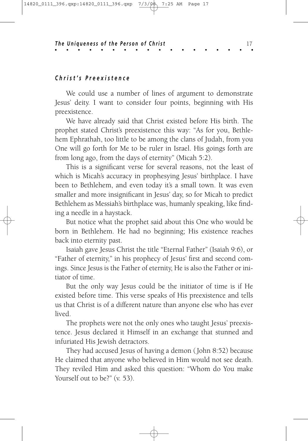#### *C h r i s t ' s P r e e x i s t e n c e*

We could use a number of lines of argument to demonstrate Jesus' deity. I want to consider four points, beginning with His preexistence.

We have already said that Christ existed before His birth. The prophet stated Christ's preexistence this way: "As for you, Bethlehem Ephrathah, too little to be among the clans of Judah, from you One will go forth for Me to be ruler in Israel. His goings forth are from long ago, from the days of eternity" (Micah 5:2).

This is a significant verse for several reasons, not the least of which is Micah's accuracy in prophesying Jesus' birthplace. I have been to Bethlehem, and even today it's a small town. It was even smaller and more insignificant in Jesus' day, so for Micah to predict Bethlehem as Messiah's birthplace was, humanly speaking, like finding a needle in a haystack.

But notice what the prophet said about this One who would be born in Bethlehem. He had no beginning; His existence reaches back into eternity past.

Isaiah gave Jesus Christ the title "Eternal Father" (Isaiah 9:6), or "Father of eternity," in his prophecy of Jesus' first and second comings. Since Jesus is the Father of eternity, He is also the Father or initiator of time.

But the only way Jesus could be the initiator of time is if He existed before time. This verse speaks of His preexistence and tells us that Christ is of a different nature than anyone else who has ever lived.

The prophets were not the only ones who taught Jesus' preexistence. Jesus declared it Himself in an exchange that stunned and infuriated His Jewish detractors.

They had accused Jesus of having a demon (John 8:52) because He claimed that anyone who believed in Him would not see death. They reviled Him and asked this question: "Whom do You make Yourself out to be?" (v. 53).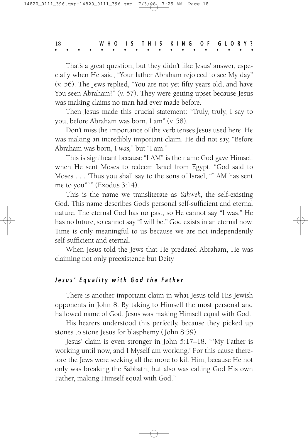That's a great question, but they didn't like Jesus' answer, especially when He said, "Your father Abraham rejoiced to see My day" (v. 56). The Jews replied, "You are not yet fifty years old, and have You seen Abraham?" (v. 57). They were getting upset because Jesus was making claims no man had ever made before.

Then Jesus made this crucial statement: "Truly, truly, I say to you, before Abraham was born, I am" (v. 58).

Don't miss the importance of the verb tenses Jesus used here. He was making an incredibly important claim. He did not say, "Before Abraham was born, I *was,*" but "I am."

This is significant because "I AM" is the name God gave Himself when He sent Moses to redeem Israel from Egypt. "God said to Moses . . . 'Thus you shall say to the sons of Israel, "I AM has sent me to you"'" (Exodus 3:14).

This is the name we transliterate as *Yahweh,* the self-existing God. This name describes God's personal self-sufficient and eternal nature. The eternal God has no past, so He cannot say "I was." He has no future, so cannot say "I will be." God exists in an eternal now. Time is only meaningful to us because we are not independently self-sufficient and eternal.

When Jesus told the Jews that He predated Abraham, He was claiming not only preexistence but Deity.

#### Jesus' Equality with God the Father

There is another important claim in what Jesus told His Jewish opponents in John 8. By taking to Himself the most personal and hallowed name of God, Jesus was making Himself equal with God.

His hearers understood this perfectly, because they picked up stones to stone Jesus for blasphemy (John 8:59).

Jesus' claim is even stronger in John 5:17–18. "'My Father is working until now, and I Myself am working.' For this cause therefore the Jews were seeking all the more to kill Him, because He not only was breaking the Sabbath, but also was calling God His own Father, making Himself equal with God."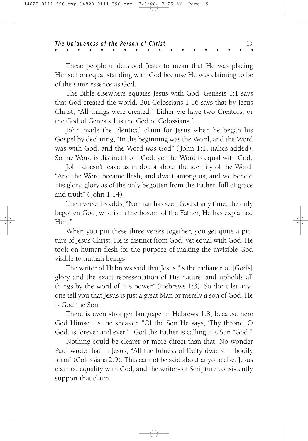These people understood Jesus to mean that He was placing Himself on equal standing with God because He was claiming to be of the same essence as God.

The Bible elsewhere equates Jesus with God. Genesis 1:1 says that God created the world. But Colossians 1:16 says that by Jesus Christ, "All things were created." Either we have two Creators, or the God of Genesis 1 is the God of Colossians 1.

John made the identical claim for Jesus when he began his Gospel by declaring, "In the beginning was the Word, and the Word was with God, and the Word *was* God" (John 1:1, italics added). So the Word is distinct from God, yet the Word is equal with God.

John doesn't leave us in doubt about the identity of the Word. "And the Word became flesh, and dwelt among us, and we beheld His glory, glory as of the only begotten from the Father, full of grace and truth" (John 1:14).

Then verse 18 adds, "No man has seen God at any time; the only begotten God, who is in the bosom of the Father, He has explained Him."

When you put these three verses together, you get quite a picture of Jesus Christ. He is distinct from God, yet equal with God. He took on human flesh for the purpose of making the invisible God visible to human beings.

The writer of Hebrews said that Jesus "is the radiance of [God's] glory and the exact representation of His nature, and upholds all things by the word of His power" (Hebrews 1:3). So don't let anyone tell you that Jesus is just a great Man or merely *a* son of God. He is God the Son.

There is even stronger language in Hebrews 1:8, because here God Himself is the speaker. "Of the Son He says, 'Thy throne, O God, is forever and ever.'" God the Father is calling His Son "God."

Nothing could be clearer or more direct than that. No wonder Paul wrote that in Jesus, "All the fulness of Deity dwells in bodily form" (Colossians 2:9). This cannot be said about anyone else. Jesus claimed equality with God, and the writers of Scripture consistently support that claim.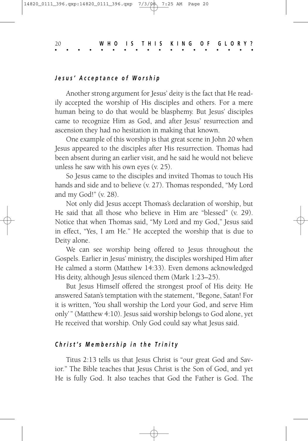#### *J e s u s ' A c c e p t a n c e o f W o r s h i p*

Another strong argument for Jesus' deity is the fact that He readily accepted the worship of His disciples and others. For a mere human being to do that would be blasphemy. But Jesus' disciples came to recognize Him as God, and after Jesus' resurrection and ascension they had no hesitation in making that known.

One example of this worship is that great scene in John 20 when Jesus appeared to the disciples after His resurrection. Thomas had been absent during an earlier visit, and he said he would not believe unless he saw with his own eyes (v. 25).

So Jesus came to the disciples and invited Thomas to touch His hands and side and to believe (v. 27). Thomas responded, "My Lord and my God!" (v. 28).

Not only did Jesus accept Thomas's declaration of worship, but He said that all those who believe in Him are "blessed" (v. 29). Notice that when Thomas said, "My Lord and my God," Jesus said in effect, "Yes, I am He." He accepted the worship that is due to Deity alone.

We can see worship being offered to Jesus throughout the Gospels. Earlier in Jesus' ministry, the disciples worshiped Him after He calmed a storm (Matthew 14:33). Even demons acknowledged His deity, although Jesus silenced them (Mark 1:23–25).

But Jesus Himself offered the strongest proof of His deity. He answered Satan's temptation with the statement, "Begone, Satan! For it is written, 'You shall worship the Lord your God, and serve Him only'" (Matthew 4:10). Jesus said worship belongs to God alone, yet He received that worship. Only God could say what Jesus said.

#### Christ's Membership in the Trinity

Titus 2:13 tells us that Jesus Christ is "our great God and Savior." The Bible teaches that Jesus Christ is the Son of God, and yet He is fully God. It also teaches that God the Father is God. The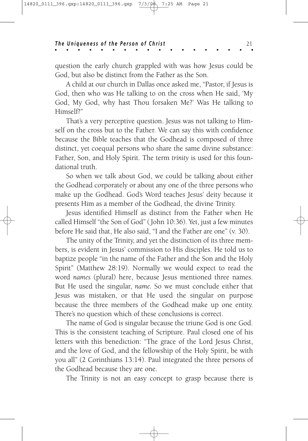question the early church grappled with was how Jesus could be God, but also be distinct from the Father as the Son.

A child at our church in Dallas once asked me, "Pastor, if Jesus is God, then who was He talking to on the cross when He said, 'My God, My God, why hast Thou forsaken Me?' Was He talking to Himself?"

That's a very perceptive question. Jesus was not talking to Himself on the cross but to the Father. We can say this with confidence because the Bible teaches that the Godhead is composed of three distinct, yet coequal persons who share the same divine substance: Father, Son, and Holy Spirit. The term *trinity* is used for this foundational truth.

So when we talk about God, we could be talking about either the Godhead corporately or about any one of the three persons who make up the Godhead. God's Word teaches Jesus' deity because it presents Him as a member of the Godhead, the divine Trinity.

Jesus identified Himself as distinct from the Father when He called Himself "the Son of God" (John 10:36). Yet, just a few minutes before He said that, He also said, "I and the Father are one" (v. 30).

The unity of the Trinity, and yet the distinction of its three members, is evident in Jesus' commission to His disciples. He told us to baptize people "in the name of the Father and the Son and the Holy Spirit" (Matthew 28:19). Normally we would expect to read the word *names* (plural) here, because Jesus mentioned three names. But He used the singular, *name.* So we must conclude either that Jesus was mistaken, or that He used the singular on purpose because the three members of the Godhead make up one entity. There's no question which of these conclusions is correct.

The name of God is singular because the triune God is one God. This is the consistent teaching of Scripture. Paul closed one of his letters with this benediction: "The grace of the Lord Jesus Christ, and the love of God, and the fellowship of the Holy Spirit, be with you all" (2 Corinthians 13:14). Paul integrated the three persons of the Godhead because they are one.

The Trinity is not an easy concept to grasp because there is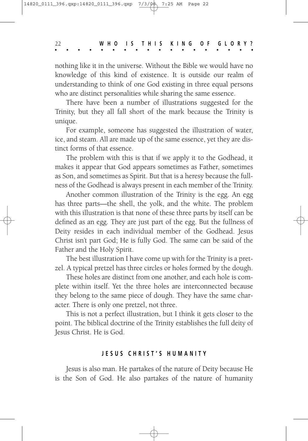nothing like it in the universe. Without the Bible we would have no knowledge of this kind of existence. It is outside our realm of understanding to think of one God existing in three equal persons who are distinct personalities while sharing the same essence.

There have been a number of illustrations suggested for the Trinity, but they all fall short of the mark because the Trinity is unique.

For example, someone has suggested the illustration of water, ice, and steam. All are made up of the same essence, yet they are distinct forms of that essence.

The problem with this is that if we apply it to the Godhead, it makes it appear that God appears sometimes as Father, sometimes as Son, and sometimes as Spirit. But that is a heresy because the fullness of the Godhead is always present in each member of the Trinity.

Another common illustration of the Trinity is the egg. An egg has three parts—the shell, the yolk, and the white. The problem with this illustration is that none of these three parts by itself can be defined as an egg. They are just part of the egg. But the fullness of Deity resides in each individual member of the Godhead. Jesus Christ isn't part God; He is fully God. The same can be said of the Father and the Holy Spirit.

The best illustration I have come up with for the Trinity is a pretzel. A typical pretzel has three circles or holes formed by the dough.

These holes are distinct from one another, and each hole is complete within itself. Yet the three holes are interconnected because they belong to the same piece of dough. They have the same character. There is only one pretzel, not three.

This is not a perfect illustration, but I think it gets closer to the point. The biblical doctrine of the Trinity establishes the full deity of Jesus Christ. He is God.

#### **J E S U S C H R I S T ' S H U M A N I T Y**

Jesus is also man. He partakes of the nature of Deity because He is the Son of God. He also partakes of the nature of humanity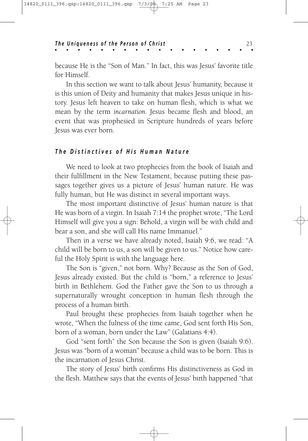because He is the "Son of Man." In fact, this was Jesus' favorite title for Himself.

In this section we want to talk about Jesus' humanity, because it is this union of Deity and humanity that makes Jesus unique in history. Jesus left heaven to take on human flesh, which is what we mean by the term *incarnation.* Jesus became flesh and blood, an event that was prophesied in Scripture hundreds of years before Jesus was ever born.

#### The Distinctives of His Human Nature

We need to look at two prophecies from the book of Isaiah and their fulfillment in the New Testament, because putting these passages together gives us a picture of Jesus' human nature. He was fully human, but He was distinct in several important ways.

The most important distinctive of Jesus' human nature is that He was born of a virgin. In Isaiah 7:14 the prophet wrote, "The Lord Himself will give you a sign: Behold, a virgin will be with child and bear a son, and she will call His name Immanuel."

Then in a verse we have already noted, Isaiah 9:6, we read: "A child will be born to us, a son will be given to us." Notice how careful the Holy Spirit is with the language here.

The Son is "given," not born. Why? Because as the Son of God, Jesus already existed. But the child is "born," a reference to Jesus' birth in Bethlehem. God the Father gave the Son to us through a supernaturally wrought conception in human flesh through the process of a human birth.

Paul brought these prophecies from Isaiah together when he wrote, "When the fulness of the time came, God sent forth His Son, born of a woman, born under the Law" (Galatians 4:4).

God "sent forth" the Son because the Son is given (Isaiah 9:6). Jesus was "born of a woman" because a child was to be born. This is the incarnation of Jesus Christ.

The story of Jesus' birth confirms His distinctiveness as God in the flesh. Matthew says that the events of Jesus' birth happened "that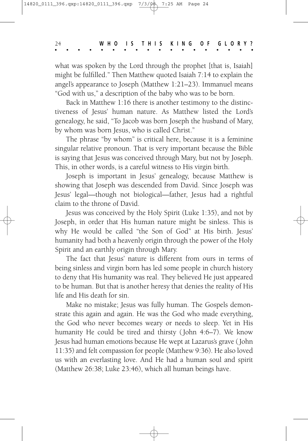what was spoken by the Lord through the prophet [that is, Isaiah] might be fulfilled." Then Matthew quoted Isaiah 7:14 to explain the angel's appearance to Joseph (Matthew 1:21–23). Immanuel means "God with us," a description of the baby who was to be born.

Back in Matthew 1:16 there is another testimony to the distinctiveness of Jesus' human nature. As Matthew listed the Lord's genealogy, he said, "To Jacob was born Joseph the husband of Mary, by whom was born Jesus, who is called Christ."

The phrase "by whom" is critical here, because it is a feminine singular relative pronoun. That is very important because the Bible is saying that Jesus was conceived through Mary, but not by Joseph. This, in other words, is a careful witness to His virgin birth.

Joseph is important in Jesus' genealogy, because Matthew is showing that Joseph was descended from David. Since Joseph was Jesus' legal—though not biological—father, Jesus had a rightful claim to the throne of David.

Jesus was conceived by the Holy Spirit (Luke 1:35), and not by Joseph, in order that His human nature might be sinless. This is why He would be called "the Son of God" at His birth. Jesus' humanity had both a heavenly origin through the power of the Holy Spirit and an earthly origin through Mary.

The fact that Jesus' nature is different from ours in terms of being sinless and virgin born has led some people in church history to deny that His humanity was real. They believed He just appeared to be human. But that is another heresy that denies the reality of His life and His death for sin.

Make no mistake; Jesus was fully human. The Gospels demonstrate this again and again. He was the God who made everything, the God who never becomes weary or needs to sleep. Yet in His humanity He could be tired and thirsty (John 4:6–7). We know Jesus had human emotions because He wept at Lazarus's grave (John 11:35) and felt compassion for people (Matthew 9:36). He also loved us with an everlasting love. And He had a human soul and spirit (Matthew 26:38; Luke 23:46), which all human beings have.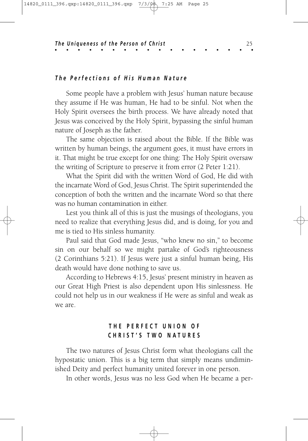#### The Perfections of His Human Nature

Some people have a problem with Jesus' human nature because they assume if He was human, He had to be sinful. Not when the Holy Spirit oversees the birth process. We have already noted that Jesus was conceived by the Holy Spirit, bypassing the sinful human nature of Joseph as the father.

The same objection is raised about the Bible. If the Bible was written by human beings, the argument goes, it must have errors in it. That might be true except for one thing: The Holy Spirit oversaw the writing of Scripture to preserve it from error (2 Peter 1:21).

What the Spirit did with the written Word of God, He did with the incarnate Word of God, Jesus Christ. The Spirit superintended the conception of both the written and the incarnate Word so that there was no human contamination in either.

Lest you think all of this is just the musings of theologians, you need to realize that everything Jesus did, and is doing, for you and me is tied to His sinless humanity.

Paul said that God made Jesus, "who knew no sin," to become sin on our behalf so we might partake of God's righteousness (2 Corinthians 5:21). If Jesus were just a sinful human being, His death would have done nothing to save us.

According to Hebrews 4:15, Jesus' present ministry in heaven as our Great High Priest is also dependent upon His sinlessness. He could not help us in our weakness if He were as sinful and weak as we are.

### **T H E P E R F E C T U N I O N O F C H R I S T ' S T W O N A T U R E S**

The two natures of Jesus Christ form what theologians call the hypostatic union. This is a big term that simply means undiminished Deity and perfect humanity united forever in one person.

In other words, Jesus was no less God when He became a per-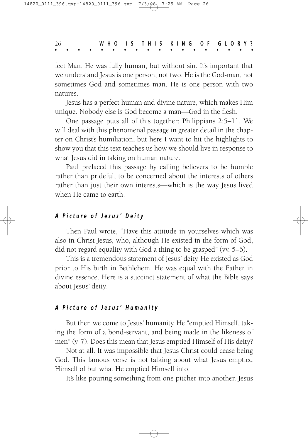fect Man. He was fully human, but without sin. It's important that we understand Jesus is one person, not two. He is the God-man, not sometimes God and sometimes man. He is one person with two natures.

Jesus has a perfect human and divine nature, which makes Him unique. Nobody else is God become a man—God in the flesh.

One passage puts all of this together: Philippians 2:5–11. We will deal with this phenomenal passage in greater detail in the chapter on Christ's humiliation, but here I want to hit the highlights to show you that this text teaches us how we should live in response to what Jesus did in taking on human nature.

Paul prefaced this passage by calling believers to be humble rather than prideful, to be concerned about the interests of others rather than just their own interests—which is the way Jesus lived when He came to earth.

#### *A P i c t u r e o f J e s u s ' D e i t y*

Then Paul wrote, "Have this attitude in yourselves which was also in Christ Jesus, who, although He existed in the form of God, did not regard equality with God a thing to be grasped" (vv. 5–6).

This is a tremendous statement of Jesus' deity. He existed as God prior to His birth in Bethlehem. He was equal with the Father in divine essence. Here is a succinct statement of what the Bible says about Jesus' deity.

#### *A P i c t u r e o f J e s u s ' H u m a n i t y*

But then we come to Jesus' humanity. He "emptied Himself, taking the form of a bond-servant, and being made in the likeness of men" (v. 7). Does this mean that Jesus emptied Himself of His deity?

Not at all. It was impossible that Jesus Christ could cease being God. This famous verse is not talking about what Jesus emptied Himself of but what He emptied Himself into.

It's like pouring something from one pitcher into another. Jesus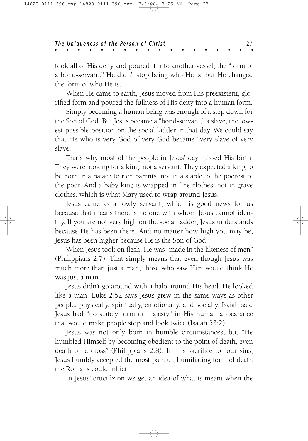took all of His deity and poured it into another vessel, the "form of a bond-servant." He didn't stop being who He is, but He changed the form of who He is.

When He came to earth, Jesus moved from His preexistent, glorified form and poured the fullness of His deity into a human form.

Simply becoming a human being was enough of a step down for the Son of God. But Jesus became a "bond-servant," a slave, the lowest possible position on the social ladder in that day. We could say that He who is very God of very God became "very slave of very slave."

That's why most of the people in Jesus' day missed His birth. They were looking for a king, not a servant. They expected a king to be born in a palace to rich parents, not in a stable to the poorest of the poor. And a baby king is wrapped in fine clothes, not in grave clothes, which is what Mary used to wrap around Jesus.

Jesus came as a lowly servant, which is good news for us because that means there is no one with whom Jesus cannot identify. If you are not very high on the social ladder, Jesus understands because He has been there. And no matter how high you may be, Jesus has been higher because He is the Son of God.

When Jesus took on flesh, He was "made in the likeness of men" (Philippians 2:7). That simply means that even though Jesus was much more than just a man, those who saw Him would think He was just a man.

Jesus didn't go around with a halo around His head. He looked like a man. Luke 2:52 says Jesus grew in the same ways as other people: physically, spiritually, emotionally, and socially. Isaiah said Jesus had "no stately form or majesty" in His human appearance that would make people stop and look twice (Isaiah 53:2).

Jesus was not only born in humble circumstances, but "He humbled Himself by becoming obedient to the point of death, even death on a cross" (Philippians 2:8). In His sacrifice for our sins, Jesus humbly accepted the most painful, humiliating form of death the Romans could inflict.

In Jesus' crucifixion we get an idea of what is meant when the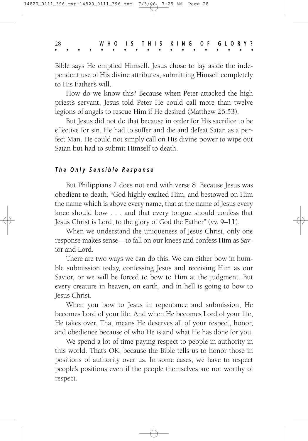Bible says He emptied Himself. Jesus chose to lay aside the independent use of His divine attributes, submitting Himself completely to His Father's will.

How do we know this? Because when Peter attacked the high priest's servant, Jesus told Peter He could call more than twelve legions of angels to rescue Him if He desired (Matthew 26:53).

But Jesus did not do that because in order for His sacrifice to be effective for sin, He had to suffer and die and defeat Satan as a perfect Man. He could not simply call on His divine power to wipe out Satan but had to submit Himself to death.

#### *T h e O n l y S e n s i b l e R e s p o n s e*

But Philippians 2 does not end with verse 8. Because Jesus was obedient to death, "God highly exalted Him, and bestowed on Him the name which is above every name, that at the name of Jesus every knee should bow . . . and that every tongue should confess that Jesus Christ is Lord, to the glory of God the Father" (vv. 9–11).

When we understand the uniqueness of Jesus Christ, only one response makes sense—to fall on our knees and confess Him as Savior and Lord.

There are two ways we can do this. We can either bow in humble submission today, confessing Jesus and receiving Him as our Savior, or we will be forced to bow to Him at the judgment. But every creature in heaven, on earth, and in hell is going to bow to Jesus Christ.

When you bow to Jesus in repentance and submission, He becomes Lord of your life. And when He becomes Lord of your life, He takes over. That means He deserves all of your respect, honor, and obedience because of who He is and what He has done for you.

We spend a lot of time paying respect to people in authority in this world. That's OK, because the Bible tells us to honor those in positions of authority over us. In some cases, we have to respect people's positions even if the people themselves are not worthy of respect.